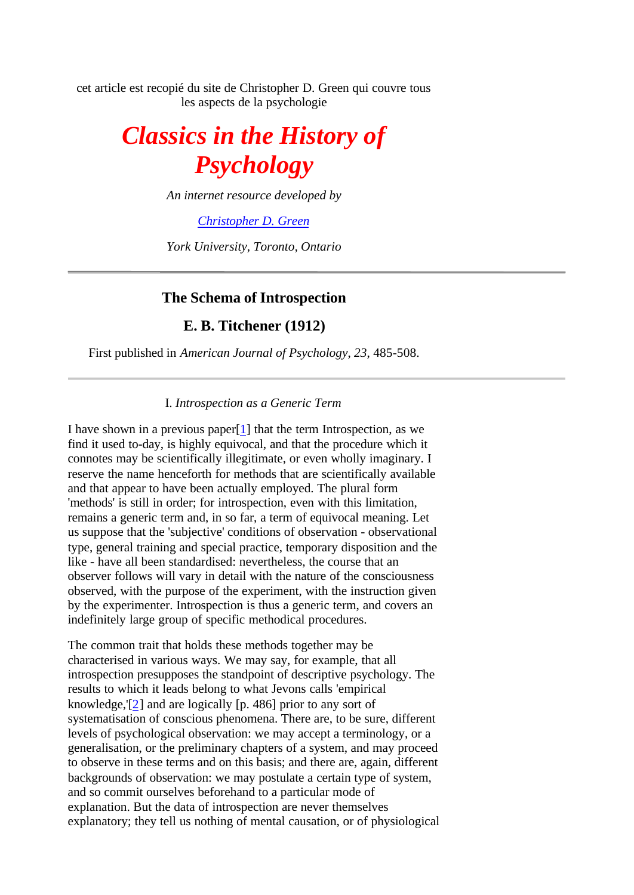cet article est recopié du site de Christopher D. Green qui couvre tous les aspects de la psychologie

# *Classics in the History of Psychology*

*An internet resource developed by*

*Christopher D. Green*

*York University, Toronto, Ontario*

# **The Schema of Introspection**

# **E. B. Titchener (1912)**

First published in *American Journal of Psychology*, *23*, 485-508.

#### I. *Introspection as a Generic Term*

I have shown in a previous paper $[1]$  that the term Introspection, as we find it used to-day, is highly equivocal, and that the procedure which it connotes may be scientifically illegitimate, or even wholly imaginary. I reserve the name henceforth for methods that are scientifically available and that appear to have been actually employed. The plural form 'methods' is still in order; for introspection, even with this limitation, remains a generic term and, in so far, a term of equivocal meaning. Let us suppose that the 'subjective' conditions of observation - observational type, general training and special practice, temporary disposition and the like - have all been standardised: nevertheless, the course that an observer follows will vary in detail with the nature of the consciousness observed, with the purpose of the experiment, with the instruction given by the experimenter. Introspection is thus a generic term, and covers an indefinitely large group of specific methodical procedures.

The common trait that holds these methods together may be characterised in various ways. We may say, for example, that all introspection presupposes the standpoint of descriptive psychology. The results to which it leads belong to what Jevons calls 'empirical knowledge,'[2] and are logically [p. 486] prior to any sort of systematisation of conscious phenomena. There are, to be sure, different levels of psychological observation: we may accept a terminology, or a generalisation, or the preliminary chapters of a system, and may proceed to observe in these terms and on this basis; and there are, again, different backgrounds of observation: we may postulate a certain type of system, and so commit ourselves beforehand to a particular mode of explanation. But the data of introspection are never themselves explanatory; they tell us nothing of mental causation, or of physiological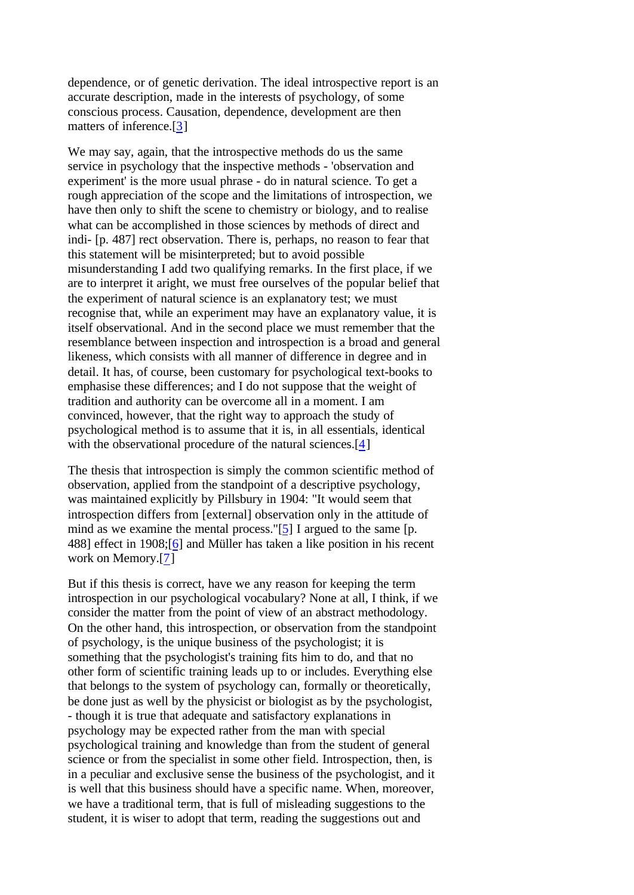dependence, or of genetic derivation. The ideal introspective report is an accurate description, made in the interests of psychology, of some conscious process. Causation, dependence, development are then matters of inference.[3]

We may say, again, that the introspective methods do us the same service in psychology that the inspective methods - 'observation and experiment' is the more usual phrase - do in natural science. To get a rough appreciation of the scope and the limitations of introspection, we have then only to shift the scene to chemistry or biology, and to realise what can be accomplished in those sciences by methods of direct and indi- [p. 487] rect observation. There is, perhaps, no reason to fear that this statement will be misinterpreted; but to avoid possible misunderstanding I add two qualifying remarks. In the first place, if we are to interpret it aright, we must free ourselves of the popular belief that the experiment of natural science is an explanatory test; we must recognise that, while an experiment may have an explanatory value, it is itself observational. And in the second place we must remember that the resemblance between inspection and introspection is a broad and general likeness, which consists with all manner of difference in degree and in detail. It has, of course, been customary for psychological text-books to emphasise these differences; and I do not suppose that the weight of tradition and authority can be overcome all in a moment. I am convinced, however, that the right way to approach the study of psychological method is to assume that it is, in all essentials, identical with the observational procedure of the natural sciences.<sup>[4]</sup>

The thesis that introspection is simply the common scientific method of observation, applied from the standpoint of a descriptive psychology, was maintained explicitly by Pillsbury in 1904: "It would seem that introspection differs from [external] observation only in the attitude of mind as we examine the mental process."[5] I argued to the same [p. 488] effect in 1908;[6] and Müller has taken a like position in his recent work on Memory.[7]

But if this thesis is correct, have we any reason for keeping the term introspection in our psychological vocabulary? None at all, I think, if we consider the matter from the point of view of an abstract methodology. On the other hand, this introspection, or observation from the standpoint of psychology, is the unique business of the psychologist; it is something that the psychologist's training fits him to do, and that no other form of scientific training leads up to or includes. Everything else that belongs to the system of psychology can, formally or theoretically, be done just as well by the physicist or biologist as by the psychologist, - though it is true that adequate and satisfactory explanations in psychology may be expected rather from the man with special psychological training and knowledge than from the student of general science or from the specialist in some other field. Introspection, then, is in a peculiar and exclusive sense the business of the psychologist, and it is well that this business should have a specific name. When, moreover, we have a traditional term, that is full of misleading suggestions to the student, it is wiser to adopt that term, reading the suggestions out and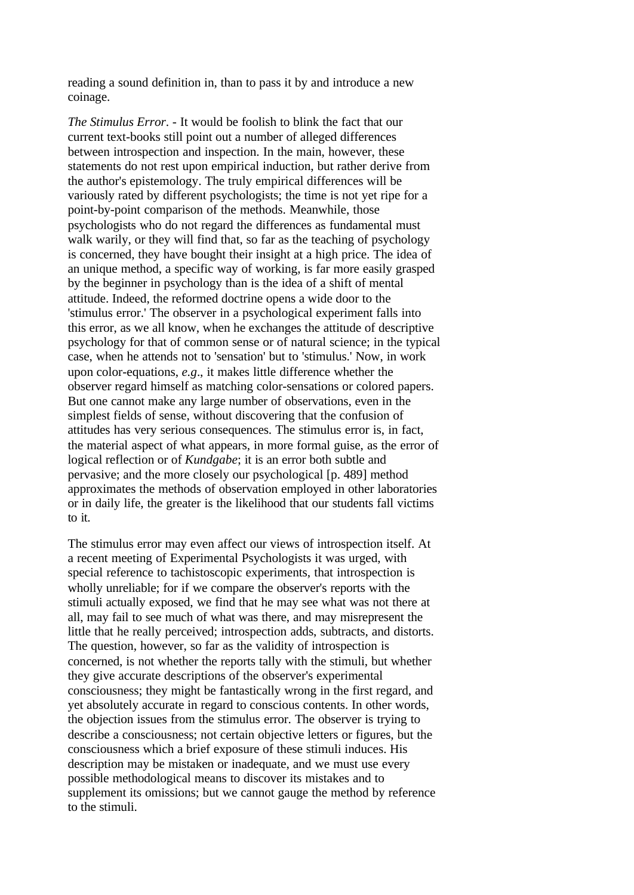reading a sound definition in, than to pass it by and introduce a new coinage.

*The Stimulus Error*. - It would be foolish to blink the fact that our current text-books still point out a number of alleged differences between introspection and inspection. In the main, however, these statements do not rest upon empirical induction, but rather derive from the author's epistemology. The truly empirical differences will be variously rated by different psychologists; the time is not yet ripe for a point-by-point comparison of the methods. Meanwhile, those psychologists who do not regard the differences as fundamental must walk warily, or they will find that, so far as the teaching of psychology is concerned, they have bought their insight at a high price. The idea of an unique method, a specific way of working, is far more easily grasped by the beginner in psychology than is the idea of a shift of mental attitude. Indeed, the reformed doctrine opens a wide door to the 'stimulus error.' The observer in a psychological experiment falls into this error, as we all know, when he exchanges the attitude of descriptive psychology for that of common sense or of natural science; in the typical case, when he attends not to 'sensation' but to 'stimulus.' Now, in work upon color-equations, *e.g*., it makes little difference whether the observer regard himself as matching color-sensations or colored papers. But one cannot make any large number of observations, even in the simplest fields of sense, without discovering that the confusion of attitudes has very serious consequences. The stimulus error is, in fact, the material aspect of what appears, in more formal guise, as the error of logical reflection or of *Kundgabe*; it is an error both subtle and pervasive; and the more closely our psychological [p. 489] method approximates the methods of observation employed in other laboratories or in daily life, the greater is the likelihood that our students fall victims to it.

The stimulus error may even affect our views of introspection itself. At a recent meeting of Experimental Psychologists it was urged, with special reference to tachistoscopic experiments, that introspection is wholly unreliable; for if we compare the observer's reports with the stimuli actually exposed, we find that he may see what was not there at all, may fail to see much of what was there, and may misrepresent the little that he really perceived; introspection adds, subtracts, and distorts. The question, however, so far as the validity of introspection is concerned, is not whether the reports tally with the stimuli, but whether they give accurate descriptions of the observer's experimental consciousness; they might be fantastically wrong in the first regard, and yet absolutely accurate in regard to conscious contents. In other words, the objection issues from the stimulus error. The observer is trying to describe a consciousness; not certain objective letters or figures, but the consciousness which a brief exposure of these stimuli induces. His description may be mistaken or inadequate, and we must use every possible methodological means to discover its mistakes and to supplement its omissions; but we cannot gauge the method by reference to the stimuli.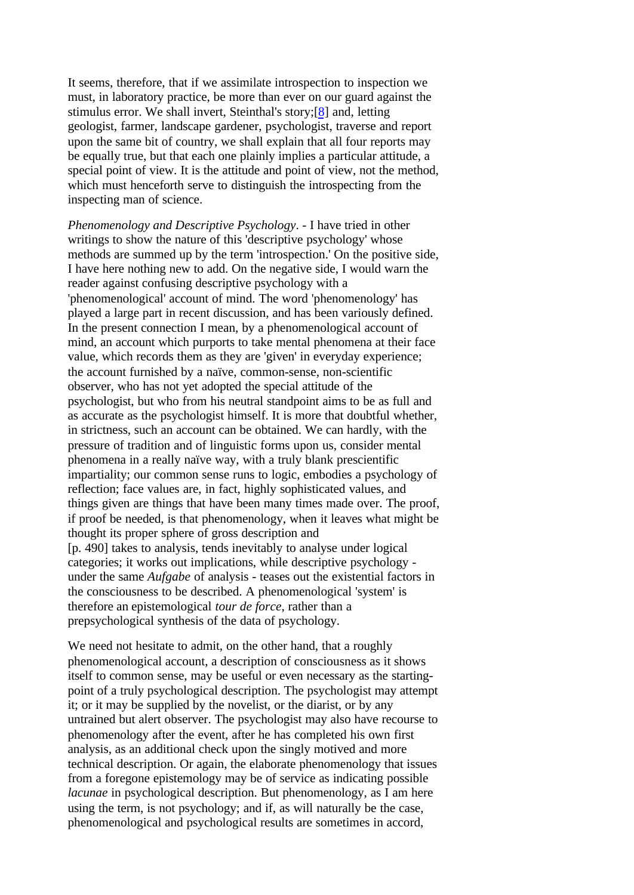It seems, therefore, that if we assimilate introspection to inspection we must, in laboratory practice, be more than ever on our guard against the stimulus error. We shall invert, Steinthal's story;[8] and, letting geologist, farmer, landscape gardener, psychologist, traverse and report upon the same bit of country, we shall explain that all four reports may be equally true, but that each one plainly implies a particular attitude, a special point of view. It is the attitude and point of view, not the method, which must henceforth serve to distinguish the introspecting from the inspecting man of science.

*Phenomenology and Descriptive Psychology*. - I have tried in other writings to show the nature of this 'descriptive psychology' whose methods are summed up by the term 'introspection.' On the positive side, I have here nothing new to add. On the negative side, I would warn the reader against confusing descriptive psychology with a 'phenomenological' account of mind. The word 'phenomenology' has played a large part in recent discussion, and has been variously defined. In the present connection I mean, by a phenomenological account of mind, an account which purports to take mental phenomena at their face value, which records them as they are 'given' in everyday experience; the account furnished by a naïve, common-sense, non-scientific observer, who has not yet adopted the special attitude of the psychologist, but who from his neutral standpoint aims to be as full and as accurate as the psychologist himself. It is more that doubtful whether, in strictness, such an account can be obtained. We can hardly, with the pressure of tradition and of linguistic forms upon us, consider mental phenomena in a really naïve way, with a truly blank prescientific impartiality; our common sense runs to logic, embodies a psychology of reflection; face values are, in fact, highly sophisticated values, and things given are things that have been many times made over. The proof, if proof be needed, is that phenomenology, when it leaves what might be thought its proper sphere of gross description and [p. 490] takes to analysis, tends inevitably to analyse under logical categories; it works out implications, while descriptive psychology under the same *Aufgabe* of analysis - teases out the existential factors in the consciousness to be described. A phenomenological 'system' is therefore an epistemological *tour de force*, rather than a prepsychological synthesis of the data of psychology.

We need not hesitate to admit, on the other hand, that a roughly phenomenological account, a description of consciousness as it shows itself to common sense, may be useful or even necessary as the startingpoint of a truly psychological description. The psychologist may attempt it; or it may be supplied by the novelist, or the diarist, or by any untrained but alert observer. The psychologist may also have recourse to phenomenology after the event, after he has completed his own first analysis, as an additional check upon the singly motived and more technical description. Or again, the elaborate phenomenology that issues from a foregone epistemology may be of service as indicating possible *lacunae* in psychological description. But phenomenology, as I am here using the term, is not psychology; and if, as will naturally be the case, phenomenological and psychological results are sometimes in accord,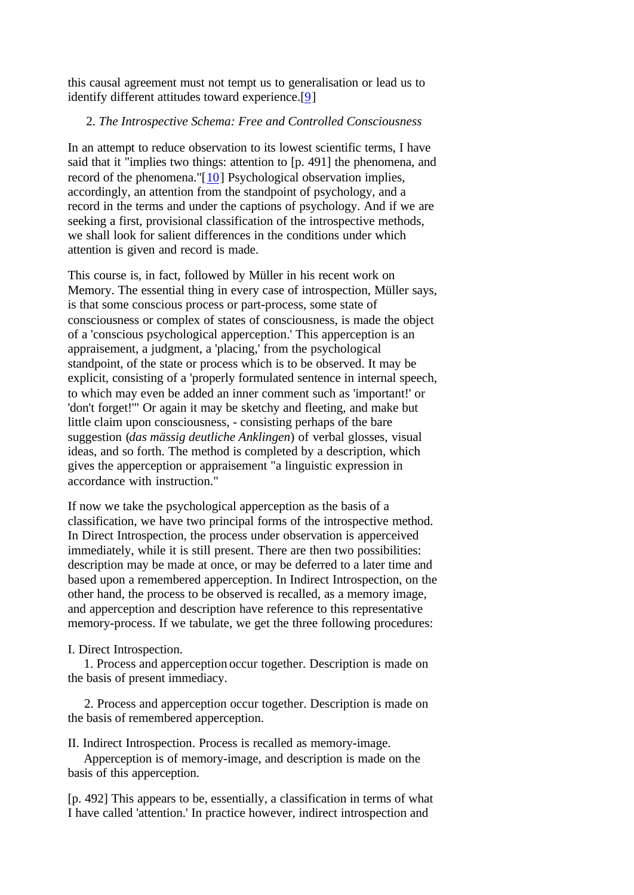this causal agreement must not tempt us to generalisation or lead us to identify different attitudes toward experience.[9]

# 2. *The Introspective Schema: Free and Controlled Consciousness*

In an attempt to reduce observation to its lowest scientific terms, I have said that it "implies two things: attention to [p. 491] the phenomena, and record of the phenomena."[10] Psychological observation implies, accordingly, an attention from the standpoint of psychology, and a record in the terms and under the captions of psychology. And if we are seeking a first, provisional classification of the introspective methods, we shall look for salient differences in the conditions under which attention is given and record is made.

This course is, in fact, followed by Müller in his recent work on Memory. The essential thing in every case of introspection, Müller says, is that some conscious process or part-process, some state of consciousness or complex of states of consciousness, is made the object of a 'conscious psychological apperception.' This apperception is an appraisement, a judgment, a 'placing,' from the psychological standpoint, of the state or process which is to be observed. It may be explicit, consisting of a 'properly formulated sentence in internal speech, to which may even be added an inner comment such as 'important!' or 'don't forget!'" Or again it may be sketchy and fleeting, and make but little claim upon consciousness, - consisting perhaps of the bare suggestion (*das mässig deutliche Anklingen*) of verbal glosses, visual ideas, and so forth. The method is completed by a description, which gives the apperception or appraisement "a linguistic expression in accordance with instruction."

If now we take the psychological apperception as the basis of a classification, we have two principal forms of the introspective method. In Direct Introspection, the process under observation is apperceived immediately, while it is still present. There are then two possibilities: description may be made at once, or may be deferred to a later time and based upon a remembered apperception. In Indirect Introspection, on the other hand, the process to be observed is recalled, as a memory image, and apperception and description have reference to this representative memory-process. If we tabulate, we get the three following procedures:

### I. Direct Introspection.

 1. Process and apperception occur together. Description is made on the basis of present immediacy.

 2. Process and apperception occur together. Description is made on the basis of remembered apperception.

II. Indirect Introspection. Process is recalled as memory-image.

 Apperception is of memory-image, and description is made on the basis of this apperception.

[p. 492] This appears to be, essentially, a classification in terms of what I have called 'attention.' In practice however, indirect introspection and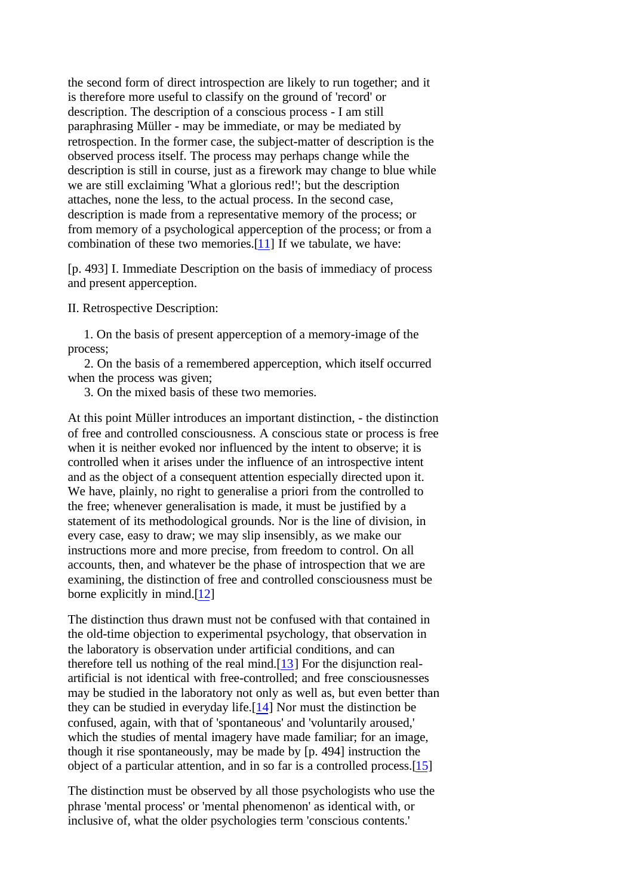the second form of direct introspection are likely to run together; and it is therefore more useful to classify on the ground of 'record' or description. The description of a conscious process - I am still paraphrasing Müller - may be immediate, or may be mediated by retrospection. In the former case, the subject-matter of description is the observed process itself. The process may perhaps change while the description is still in course, just as a firework may change to blue while we are still exclaiming 'What a glorious red!'; but the description attaches, none the less, to the actual process. In the second case, description is made from a representative memory of the process; or from memory of a psychological apperception of the process; or from a combination of these two memories.[11] If we tabulate, we have:

[p. 493] I. Immediate Description on the basis of immediacy of process and present apperception.

II. Retrospective Description:

 1. On the basis of present apperception of a memory-image of the process;

 2. On the basis of a remembered apperception, which itself occurred when the process was given;

3. On the mixed basis of these two memories.

At this point Müller introduces an important distinction, - the distinction of free and controlled consciousness. A conscious state or process is free when it is neither evoked nor influenced by the intent to observe; it is controlled when it arises under the influence of an introspective intent and as the object of a consequent attention especially directed upon it. We have, plainly, no right to generalise a priori from the controlled to the free; whenever generalisation is made, it must be justified by a statement of its methodological grounds. Nor is the line of division, in every case, easy to draw; we may slip insensibly, as we make our instructions more and more precise, from freedom to control. On all accounts, then, and whatever be the phase of introspection that we are examining, the distinction of free and controlled consciousness must be borne explicitly in mind.[12]

The distinction thus drawn must not be confused with that contained in the old-time objection to experimental psychology, that observation in the laboratory is observation under artificial conditions, and can therefore tell us nothing of the real mind.[13] For the disjunction realartificial is not identical with free-controlled; and free consciousnesses may be studied in the laboratory not only as well as, but even better than they can be studied in everyday life.[14] Nor must the distinction be confused, again, with that of 'spontaneous' and 'voluntarily aroused,' which the studies of mental imagery have made familiar; for an image, though it rise spontaneously, may be made by [p. 494] instruction the object of a particular attention, and in so far is a controlled process.[15]

The distinction must be observed by all those psychologists who use the phrase 'mental process' or 'mental phenomenon' as identical with, or inclusive of, what the older psychologies term 'conscious contents.'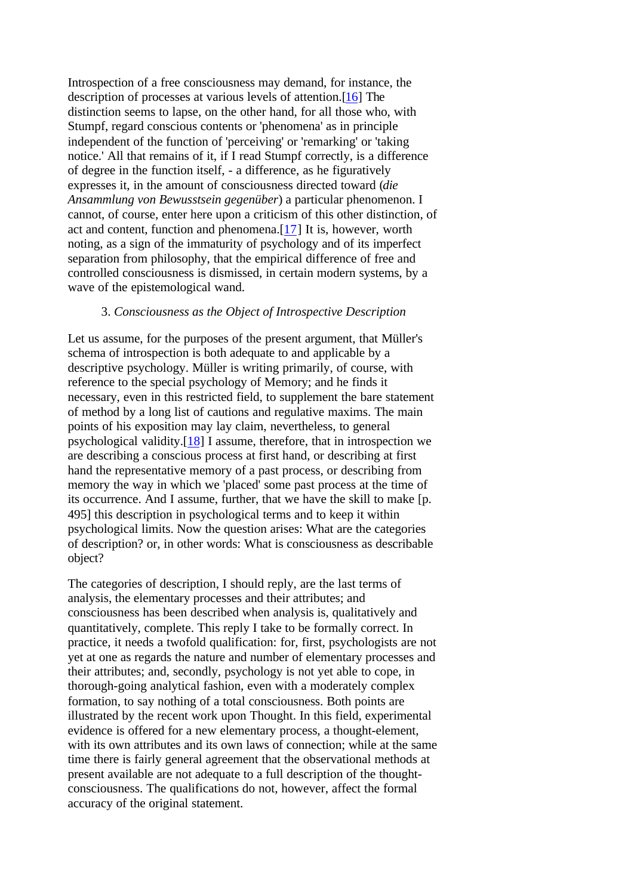Introspection of a free consciousness may demand, for instance, the description of processes at various levels of attention.[16] The distinction seems to lapse, on the other hand, for all those who, with Stumpf, regard conscious contents or 'phenomena' as in principle independent of the function of 'perceiving' or 'remarking' or 'taking notice.' All that remains of it, if I read Stumpf correctly, is a difference of degree in the function itself, - a difference, as he figuratively expresses it, in the amount of consciousness directed toward (*die Ansammlung von Bewusstsein gegenüber*) a particular phenomenon. I cannot, of course, enter here upon a criticism of this other distinction, of act and content, function and phenomena.[17] It is, however, worth noting, as a sign of the immaturity of psychology and of its imperfect separation from philosophy, that the empirical difference of free and controlled consciousness is dismissed, in certain modern systems, by a wave of the epistemological wand.

# 3. *Consciousness as the Object of Introspective Description*

Let us assume, for the purposes of the present argument, that Müller's schema of introspection is both adequate to and applicable by a descriptive psychology. Müller is writing primarily, of course, with reference to the special psychology of Memory; and he finds it necessary, even in this restricted field, to supplement the bare statement of method by a long list of cautions and regulative maxims. The main points of his exposition may lay claim, nevertheless, to general psychological validity.[18] I assume, therefore, that in introspection we are describing a conscious process at first hand, or describing at first hand the representative memory of a past process, or describing from memory the way in which we 'placed' some past process at the time of its occurrence. And I assume, further, that we have the skill to make [p. 495] this description in psychological terms and to keep it within psychological limits. Now the question arises: What are the categories of description? or, in other words: What is consciousness as describable object?

The categories of description, I should reply, are the last terms of analysis, the elementary processes and their attributes; and consciousness has been described when analysis is, qualitatively and quantitatively, complete. This reply I take to be formally correct. In practice, it needs a twofold qualification: for, first, psychologists are not yet at one as regards the nature and number of elementary processes and their attributes; and, secondly, psychology is not yet able to cope, in thorough-going analytical fashion, even with a moderately complex formation, to say nothing of a total consciousness. Both points are illustrated by the recent work upon Thought. In this field, experimental evidence is offered for a new elementary process, a thought-element, with its own attributes and its own laws of connection; while at the same time there is fairly general agreement that the observational methods at present available are not adequate to a full description of the thoughtconsciousness. The qualifications do not, however, affect the formal accuracy of the original statement.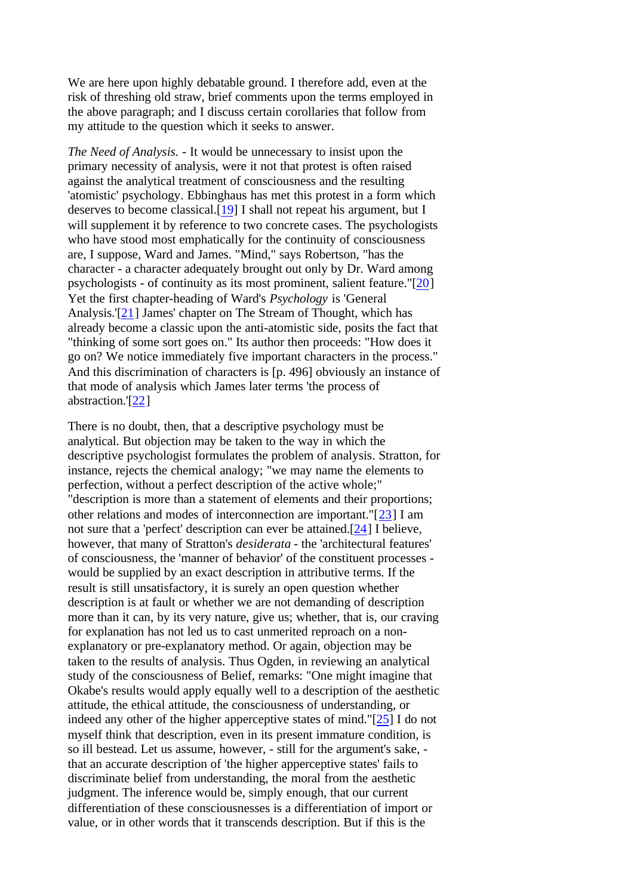We are here upon highly debatable ground. I therefore add, even at the risk of threshing old straw, brief comments upon the terms employed in the above paragraph; and I discuss certain corollaries that follow from my attitude to the question which it seeks to answer.

*The Need of Analysis*. - It would be unnecessary to insist upon the primary necessity of analysis, were it not that protest is often raised against the analytical treatment of consciousness and the resulting 'atomistic' psychology. Ebbinghaus has met this protest in a form which deserves to become classical.[19] I shall not repeat his argument, but I will supplement it by reference to two concrete cases. The psychologists who have stood most emphatically for the continuity of consciousness are, I suppose, Ward and James. "Mind," says Robertson, "has the character - a character adequately brought out only by Dr. Ward among psychologists - of continuity as its most prominent, salient feature."[20] Yet the first chapter-heading of Ward's *Psychology* is 'General Analysis.'[21] James' chapter on The Stream of Thought, which has already become a classic upon the anti-atomistic side, posits the fact that "thinking of some sort goes on." Its author then proceeds: "How does it go on? We notice immediately five important characters in the process." And this discrimination of characters is [p. 496] obviously an instance of that mode of analysis which James later terms 'the process of abstraction.'[22]

There is no doubt, then, that a descriptive psychology must be analytical. But objection may be taken to the way in which the descriptive psychologist formulates the problem of analysis. Stratton, for instance, rejects the chemical analogy; "we may name the elements to perfection, without a perfect description of the active whole;" "description is more than a statement of elements and their proportions; other relations and modes of interconnection are important."[23] I am not sure that a 'perfect' description can ever be attained.[24] I believe, however, that many of Stratton's *desiderata* - the 'architectural features' of consciousness, the 'manner of behavior' of the constituent processes would be supplied by an exact description in attributive terms. If the result is still unsatisfactory, it is surely an open question whether description is at fault or whether we are not demanding of description more than it can, by its very nature, give us; whether, that is, our craving for explanation has not led us to cast unmerited reproach on a nonexplanatory or pre-explanatory method. Or again, objection may be taken to the results of analysis. Thus Ogden, in reviewing an analytical study of the consciousness of Belief, remarks: "One might imagine that Okabe's results would apply equally well to a description of the aesthetic attitude, the ethical attitude, the consciousness of understanding, or indeed any other of the higher apperceptive states of mind."[25] I do not myself think that description, even in its present immature condition, is so ill bestead. Let us assume, however, - still for the argument's sake, that an accurate description of 'the higher apperceptive states' fails to discriminate belief from understanding, the moral from the aesthetic judgment. The inference would be, simply enough, that our current differentiation of these consciousnesses is a differentiation of import or value, or in other words that it transcends description. But if this is the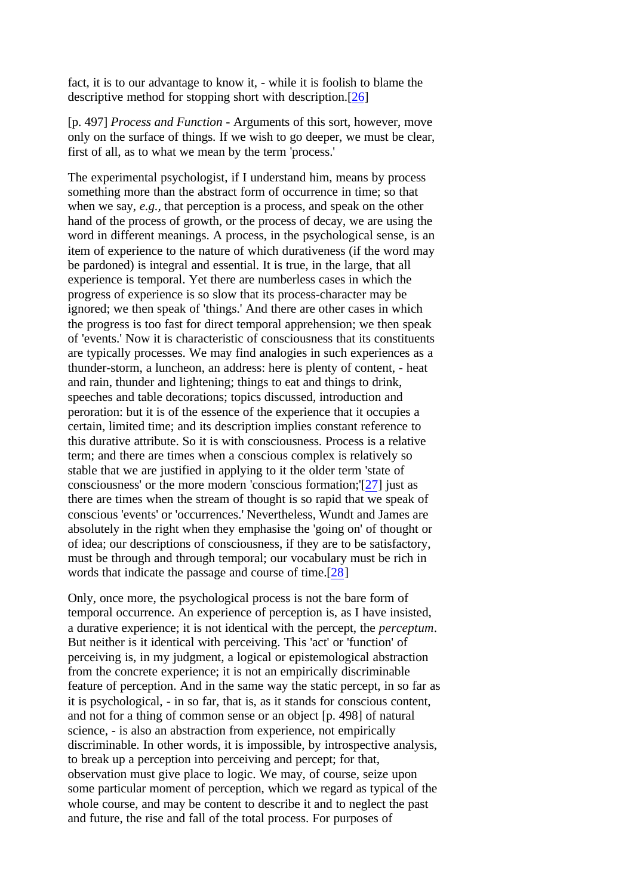fact, it is to our advantage to know it, - while it is foolish to blame the descriptive method for stopping short with description.[26]

[p. 497] *Process and Function* - Arguments of this sort, however, move only on the surface of things. If we wish to go deeper, we must be clear, first of all, as to what we mean by the term 'process.'

The experimental psychologist, if I understand him, means by process something more than the abstract form of occurrence in time; so that when we say, *e.g.,* that perception is a process, and speak on the other hand of the process of growth, or the process of decay, we are using the word in different meanings. A process, in the psychological sense, is an item of experience to the nature of which durativeness (if the word may be pardoned) is integral and essential. It is true, in the large, that all experience is temporal. Yet there are numberless cases in which the progress of experience is so slow that its process-character may be ignored; we then speak of 'things.' And there are other cases in which the progress is too fast for direct temporal apprehension; we then speak of 'events.' Now it is characteristic of consciousness that its constituents are typically processes. We may find analogies in such experiences as a thunder-storm, a luncheon, an address: here is plenty of content, - heat and rain, thunder and lightening; things to eat and things to drink, speeches and table decorations; topics discussed, introduction and peroration: but it is of the essence of the experience that it occupies a certain, limited time; and its description implies constant reference to this durative attribute. So it is with consciousness. Process is a relative term; and there are times when a conscious complex is relatively so stable that we are justified in applying to it the older term 'state of consciousness' or the more modern 'conscious formation;'[27] just as there are times when the stream of thought is so rapid that we speak of conscious 'events' or 'occurrences.' Nevertheless, Wundt and James are absolutely in the right when they emphasise the 'going on' of thought or of idea; our descriptions of consciousness, if they are to be satisfactory, must be through and through temporal; our vocabulary must be rich in words that indicate the passage and course of time.[28]

Only, once more, the psychological process is not the bare form of temporal occurrence. An experience of perception is, as I have insisted, a durative experience; it is not identical with the percept, the *perceptum*. But neither is it identical with perceiving. This 'act' or 'function' of perceiving is, in my judgment, a logical or epistemological abstraction from the concrete experience; it is not an empirically discriminable feature of perception. And in the same way the static percept, in so far as it is psychological, - in so far, that is, as it stands for conscious content, and not for a thing of common sense or an object [p. 498] of natural science, - is also an abstraction from experience, not empirically discriminable. In other words, it is impossible, by introspective analysis, to break up a perception into perceiving and percept; for that, observation must give place to logic. We may, of course, seize upon some particular moment of perception, which we regard as typical of the whole course, and may be content to describe it and to neglect the past and future, the rise and fall of the total process. For purposes of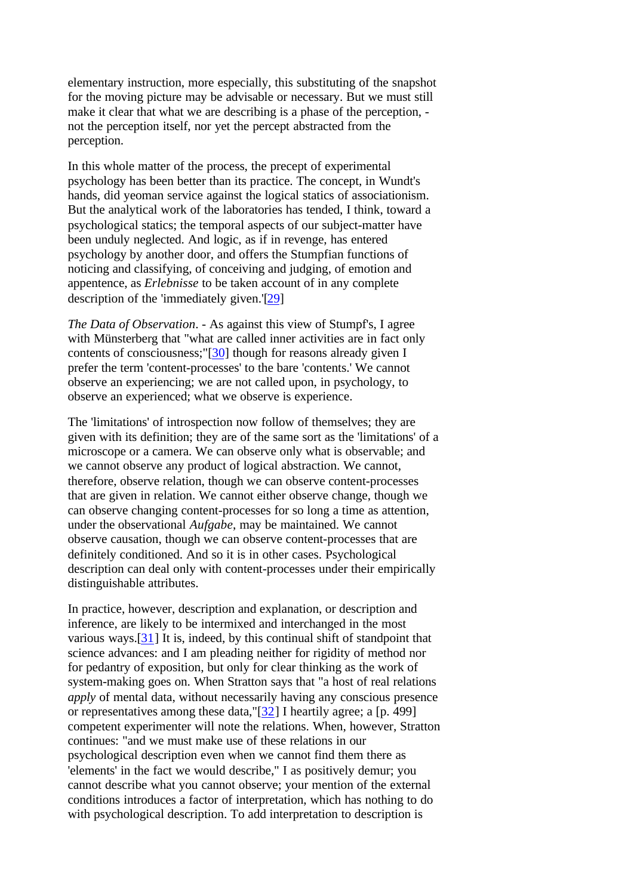elementary instruction, more especially, this substituting of the snapshot for the moving picture may be advisable or necessary. But we must still make it clear that what we are describing is a phase of the perception, not the perception itself, nor yet the percept abstracted from the perception.

In this whole matter of the process, the precept of experimental psychology has been better than its practice. The concept, in Wundt's hands, did yeoman service against the logical statics of associationism. But the analytical work of the laboratories has tended, I think, toward a psychological statics; the temporal aspects of our subject-matter have been unduly neglected. And logic, as if in revenge, has entered psychology by another door, and offers the Stumpfian functions of noticing and classifying, of conceiving and judging, of emotion and appentence, as *Erlebnisse* to be taken account of in any complete description of the 'immediately given.'[29]

*The Data of Observation*. - As against this view of Stumpf's, I agree with Münsterberg that "what are called inner activities are in fact only contents of consciousness;"[30] though for reasons already given I prefer the term 'content-processes' to the bare 'contents.' We cannot observe an experiencing; we are not called upon, in psychology, to observe an experienced; what we observe is experience.

The 'limitations' of introspection now follow of themselves; they are given with its definition; they are of the same sort as the 'limitations' of a microscope or a camera. We can observe only what is observable; and we cannot observe any product of logical abstraction. We cannot, therefore, observe relation, though we can observe content-processes that are given in relation. We cannot either observe change, though we can observe changing content-processes for so long a time as attention, under the observational *Aufgabe*, may be maintained. We cannot observe causation, though we can observe content-processes that are definitely conditioned. And so it is in other cases. Psychological description can deal only with content-processes under their empirically distinguishable attributes.

In practice, however, description and explanation, or description and inference, are likely to be intermixed and interchanged in the most various ways.[31] It is, indeed, by this continual shift of standpoint that science advances: and I am pleading neither for rigidity of method nor for pedantry of exposition, but only for clear thinking as the work of system-making goes on. When Stratton says that "a host of real relations *apply* of mental data, without necessarily having any conscious presence or representatives among these data,"[32] I heartily agree; a [p. 499] competent experimenter will note the relations. When, however, Stratton continues: "and we must make use of these relations in our psychological description even when we cannot find them there as 'elements' in the fact we would describe," I as positively demur; you cannot describe what you cannot observe; your mention of the external conditions introduces a factor of interpretation, which has nothing to do with psychological description. To add interpretation to description is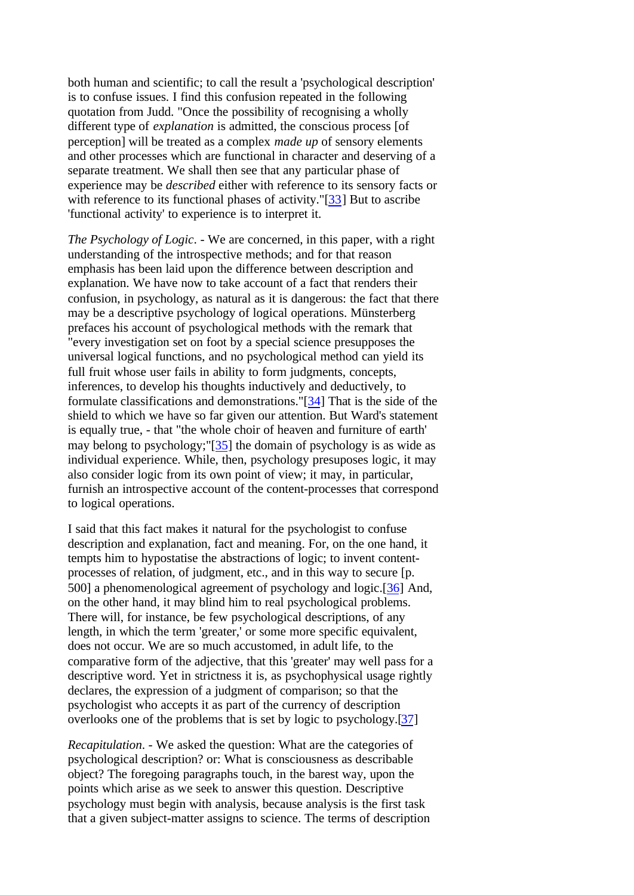both human and scientific; to call the result a 'psychological description' is to confuse issues. I find this confusion repeated in the following quotation from Judd. "Once the possibility of recognising a wholly different type of *explanation* is admitted, the conscious process [of perception] will be treated as a complex *made up* of sensory elements and other processes which are functional in character and deserving of a separate treatment. We shall then see that any particular phase of experience may be *described* either with reference to its sensory facts or with reference to its functional phases of activity."[33] But to ascribe 'functional activity' to experience is to interpret it.

*The Psychology of Logic*. - We are concerned, in this paper, with a right understanding of the introspective methods; and for that reason emphasis has been laid upon the difference between description and explanation. We have now to take account of a fact that renders their confusion, in psychology, as natural as it is dangerous: the fact that there may be a descriptive psychology of logical operations. Münsterberg prefaces his account of psychological methods with the remark that "every investigation set on foot by a special science presupposes the universal logical functions, and no psychological method can yield its full fruit whose user fails in ability to form judgments, concepts, inferences, to develop his thoughts inductively and deductively, to formulate classifications and demonstrations."[34] That is the side of the shield to which we have so far given our attention. But Ward's statement is equally true, - that "the whole choir of heaven and furniture of earth' may belong to psychology;"[35] the domain of psychology is as wide as individual experience. While, then, psychology presuposes logic, it may also consider logic from its own point of view; it may, in particular, furnish an introspective account of the content-processes that correspond to logical operations.

I said that this fact makes it natural for the psychologist to confuse description and explanation, fact and meaning. For, on the one hand, it tempts him to hypostatise the abstractions of logic; to invent contentprocesses of relation, of judgment, etc., and in this way to secure [p. 500] a phenomenological agreement of psychology and logic.[36] And, on the other hand, it may blind him to real psychological problems. There will, for instance, be few psychological descriptions, of any length, in which the term 'greater,' or some more specific equivalent, does not occur. We are so much accustomed, in adult life, to the comparative form of the adjective, that this 'greater' may well pass for a descriptive word. Yet in strictness it is, as psychophysical usage rightly declares, the expression of a judgment of comparison; so that the psychologist who accepts it as part of the currency of description overlooks one of the problems that is set by logic to psychology.[37]

*Recapitulation*. - We asked the question: What are the categories of psychological description? or: What is consciousness as describable object? The foregoing paragraphs touch, in the barest way, upon the points which arise as we seek to answer this question. Descriptive psychology must begin with analysis, because analysis is the first task that a given subject-matter assigns to science. The terms of description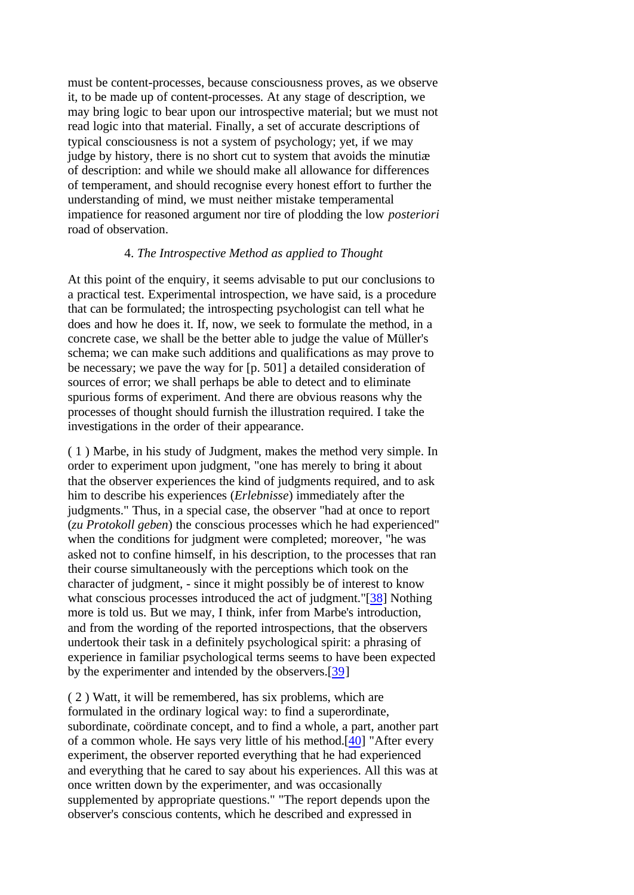must be content-processes, because consciousness proves, as we observe it, to be made up of content-processes. At any stage of description, we may bring logic to bear upon our introspective material; but we must not read logic into that material. Finally, a set of accurate descriptions of typical consciousness is not a system of psychology; yet, if we may judge by history, there is no short cut to system that avoids the minutiæ of description: and while we should make all allowance for differences of temperament, and should recognise every honest effort to further the understanding of mind, we must neither mistake temperamental impatience for reasoned argument nor tire of plodding the low *posteriori* road of observation.

## 4. *The Introspective Method as applied to Thought*

At this point of the enquiry, it seems advisable to put our conclusions to a practical test. Experimental introspection, we have said, is a procedure that can be formulated; the introspecting psychologist can tell what he does and how he does it. If, now, we seek to formulate the method, in a concrete case, we shall be the better able to judge the value of Müller's schema; we can make such additions and qualifications as may prove to be necessary; we pave the way for [p. 501] a detailed consideration of sources of error; we shall perhaps be able to detect and to eliminate spurious forms of experiment. And there are obvious reasons why the processes of thought should furnish the illustration required. I take the investigations in the order of their appearance.

( 1 ) Marbe, in his study of Judgment, makes the method very simple. In order to experiment upon judgment, "one has merely to bring it about that the observer experiences the kind of judgments required, and to ask him to describe his experiences (*Erlebnisse*) immediately after the judgments." Thus, in a special case, the observer "had at once to report (*zu Protokoll geben*) the conscious processes which he had experienced" when the conditions for judgment were completed; moreover, "he was asked not to confine himself, in his description, to the processes that ran their course simultaneously with the perceptions which took on the character of judgment, - since it might possibly be of interest to know what conscious processes introduced the act of judgment."[38] Nothing more is told us. But we may, I think, infer from Marbe's introduction, and from the wording of the reported introspections, that the observers undertook their task in a definitely psychological spirit: a phrasing of experience in familiar psychological terms seems to have been expected by the experimenter and intended by the observers.[39]

( 2 ) Watt, it will be remembered, has six problems, which are formulated in the ordinary logical way: to find a superordinate, subordinate, coördinate concept, and to find a whole, a part, another part of a common whole. He says very little of his method. $[40]$  "After every experiment, the observer reported everything that he had experienced and everything that he cared to say about his experiences. All this was at once written down by the experimenter, and was occasionally supplemented by appropriate questions." "The report depends upon the observer's conscious contents, which he described and expressed in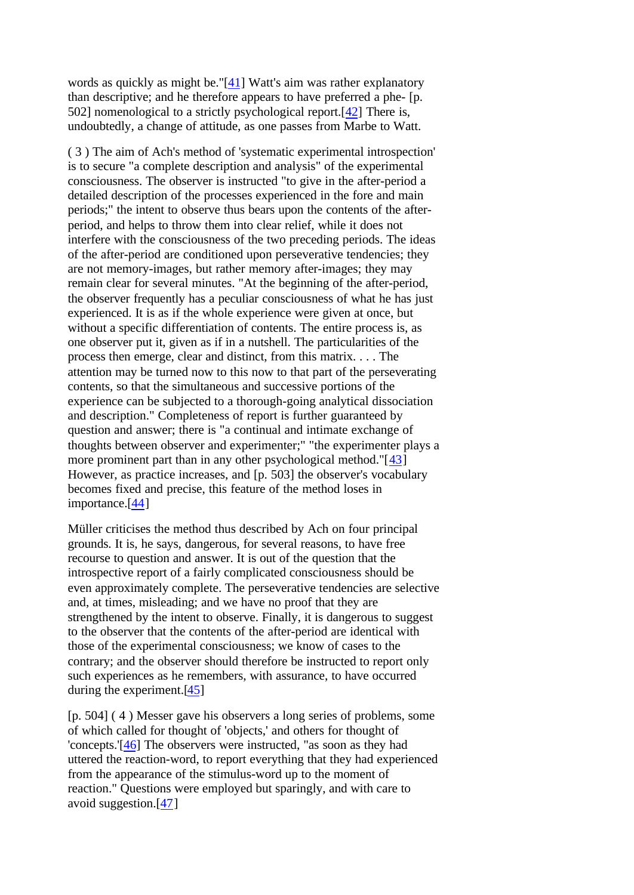words as quickly as might be."[41] Watt's aim was rather explanatory than descriptive; and he therefore appears to have preferred a phe- [p. 502] nomenological to a strictly psychological report.[42] There is, undoubtedly, a change of attitude, as one passes from Marbe to Watt.

( 3 ) The aim of Ach's method of 'systematic experimental introspection' is to secure "a complete description and analysis" of the experimental consciousness. The observer is instructed "to give in the after-period a detailed description of the processes experienced in the fore and main periods;" the intent to observe thus bears upon the contents of the afterperiod, and helps to throw them into clear relief, while it does not interfere with the consciousness of the two preceding periods. The ideas of the after-period are conditioned upon perseverative tendencies; they are not memory-images, but rather memory after-images; they may remain clear for several minutes. "At the beginning of the after-period, the observer frequently has a peculiar consciousness of what he has just experienced. It is as if the whole experience were given at once, but without a specific differentiation of contents. The entire process is, as one observer put it, given as if in a nutshell. The particularities of the process then emerge, clear and distinct, from this matrix. . . . The attention may be turned now to this now to that part of the perseverating contents, so that the simultaneous and successive portions of the experience can be subjected to a thorough-going analytical dissociation and description." Completeness of report is further guaranteed by question and answer; there is "a continual and intimate exchange of thoughts between observer and experimenter;" "the experimenter plays a more prominent part than in any other psychological method."[43] However, as practice increases, and [p. 503] the observer's vocabulary becomes fixed and precise, this feature of the method loses in importance.[44]

Müller criticises the method thus described by Ach on four principal grounds. It is, he says, dangerous, for several reasons, to have free recourse to question and answer. It is out of the question that the introspective report of a fairly complicated consciousness should be even approximately complete. The perseverative tendencies are selective and, at times, misleading; and we have no proof that they are strengthened by the intent to observe. Finally, it is dangerous to suggest to the observer that the contents of the after-period are identical with those of the experimental consciousness; we know of cases to the contrary; and the observer should therefore be instructed to report only such experiences as he remembers, with assurance, to have occurred during the experiment.[45]

[p. 504] ( 4 ) Messer gave his observers a long series of problems, some of which called for thought of 'objects,' and others for thought of 'concepts.'[46] The observers were instructed, "as soon as they had uttered the reaction-word, to report everything that they had experienced from the appearance of the stimulus-word up to the moment of reaction." Questions were employed but sparingly, and with care to avoid suggestion.[47]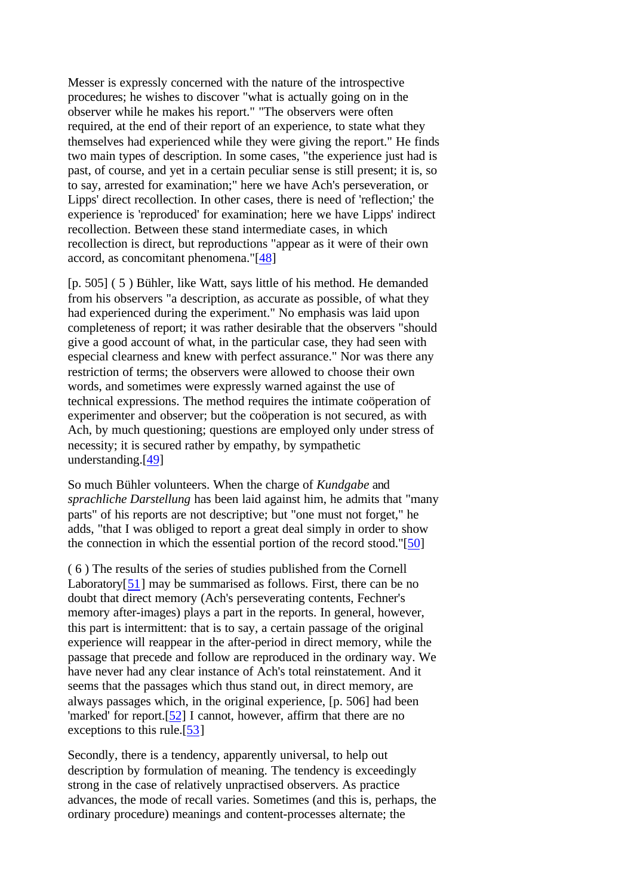Messer is expressly concerned with the nature of the introspective procedures; he wishes to discover "what is actually going on in the observer while he makes his report." "The observers were often required, at the end of their report of an experience, to state what they themselves had experienced while they were giving the report." He finds two main types of description. In some cases, "the experience just had is past, of course, and yet in a certain peculiar sense is still present; it is, so to say, arrested for examination;" here we have Ach's perseveration, or Lipps' direct recollection. In other cases, there is need of 'reflection;' the experience is 'reproduced' for examination; here we have Lipps' indirect recollection. Between these stand intermediate cases, in which recollection is direct, but reproductions "appear as it were of their own accord, as concomitant phenomena."[48]

[p. 505] (5) Bühler, like Watt, says little of his method. He demanded from his observers "a description, as accurate as possible, of what they had experienced during the experiment." No emphasis was laid upon completeness of report; it was rather desirable that the observers "should give a good account of what, in the particular case, they had seen with especial clearness and knew with perfect assurance." Nor was there any restriction of terms; the observers were allowed to choose their own words, and sometimes were expressly warned against the use of technical expressions. The method requires the intimate coöperation of experimenter and observer; but the coöperation is not secured, as with Ach, by much questioning; questions are employed only under stress of necessity; it is secured rather by empathy, by sympathetic understanding.[49]

So much Bühler volunteers. When the charge of *Kundgabe* and *sprachliche Darstellung* has been laid against him, he admits that "many parts" of his reports are not descriptive; but "one must not forget," he adds, "that I was obliged to report a great deal simply in order to show the connection in which the essential portion of the record stood."[50]

( 6 ) The results of the series of studies published from the Cornell Laboratory $[51]$  may be summarised as follows. First, there can be no doubt that direct memory (Ach's perseverating contents, Fechner's memory after-images) plays a part in the reports. In general, however, this part is intermittent: that is to say, a certain passage of the original experience will reappear in the after-period in direct memory, while the passage that precede and follow are reproduced in the ordinary way. We have never had any clear instance of Ach's total reinstatement. And it seems that the passages which thus stand out, in direct memory, are always passages which, in the original experience, [p. 506] had been 'marked' for report.[52] I cannot, however, affirm that there are no exceptions to this rule.[53]

Secondly, there is a tendency, apparently universal, to help out description by formulation of meaning. The tendency is exceedingly strong in the case of relatively unpractised observers. As practice advances, the mode of recall varies. Sometimes (and this is, perhaps, the ordinary procedure) meanings and content-processes alternate; the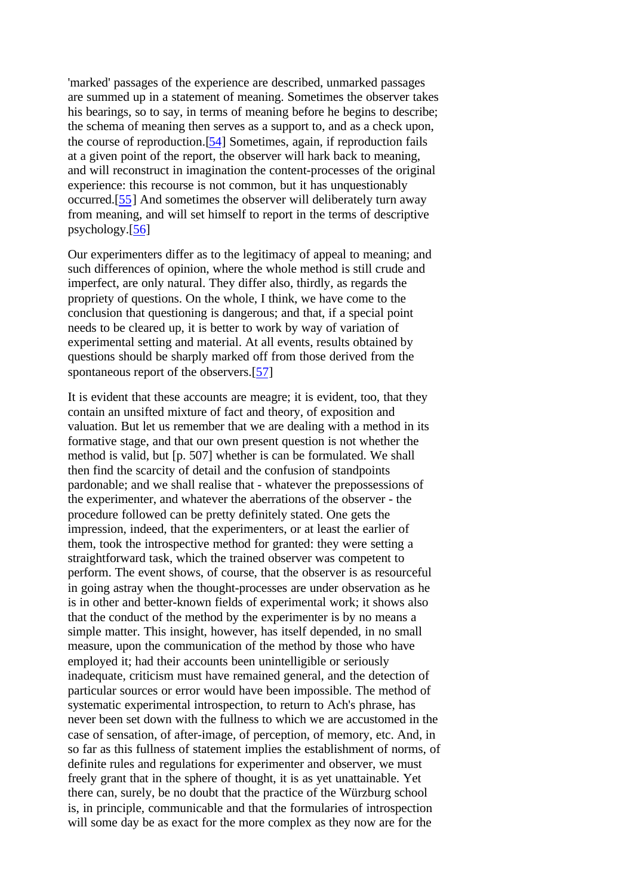'marked' passages of the experience are described, unmarked passages are summed up in a statement of meaning. Sometimes the observer takes his bearings, so to say, in terms of meaning before he begins to describe; the schema of meaning then serves as a support to, and as a check upon, the course of reproduction.[54] Sometimes, again, if reproduction fails at a given point of the report, the observer will hark back to meaning, and will reconstruct in imagination the content-processes of the original experience: this recourse is not common, but it has unquestionably occurred.[55] And sometimes the observer will deliberately turn away from meaning, and will set himself to report in the terms of descriptive psychology.[56]

Our experimenters differ as to the legitimacy of appeal to meaning; and such differences of opinion, where the whole method is still crude and imperfect, are only natural. They differ also, thirdly, as regards the propriety of questions. On the whole, I think, we have come to the conclusion that questioning is dangerous; and that, if a special point needs to be cleared up, it is better to work by way of variation of experimental setting and material. At all events, results obtained by questions should be sharply marked off from those derived from the spontaneous report of the observers.[57]

It is evident that these accounts are meagre; it is evident, too, that they contain an unsifted mixture of fact and theory, of exposition and valuation. But let us remember that we are dealing with a method in its formative stage, and that our own present question is not whether the method is valid, but [p. 507] whether is can be formulated. We shall then find the scarcity of detail and the confusion of standpoints pardonable; and we shall realise that - whatever the prepossessions of the experimenter, and whatever the aberrations of the observer - the procedure followed can be pretty definitely stated. One gets the impression, indeed, that the experimenters, or at least the earlier of them, took the introspective method for granted: they were setting a straightforward task, which the trained observer was competent to perform. The event shows, of course, that the observer is as resourceful in going astray when the thought-processes are under observation as he is in other and better-known fields of experimental work; it shows also that the conduct of the method by the experimenter is by no means a simple matter. This insight, however, has itself depended, in no small measure, upon the communication of the method by those who have employed it; had their accounts been unintelligible or seriously inadequate, criticism must have remained general, and the detection of particular sources or error would have been impossible. The method of systematic experimental introspection, to return to Ach's phrase, has never been set down with the fullness to which we are accustomed in the case of sensation, of after-image, of perception, of memory, etc. And, in so far as this fullness of statement implies the establishment of norms, of definite rules and regulations for experimenter and observer, we must freely grant that in the sphere of thought, it is as yet unattainable. Yet there can, surely, be no doubt that the practice of the Würzburg school is, in principle, communicable and that the formularies of introspection will some day be as exact for the more complex as they now are for the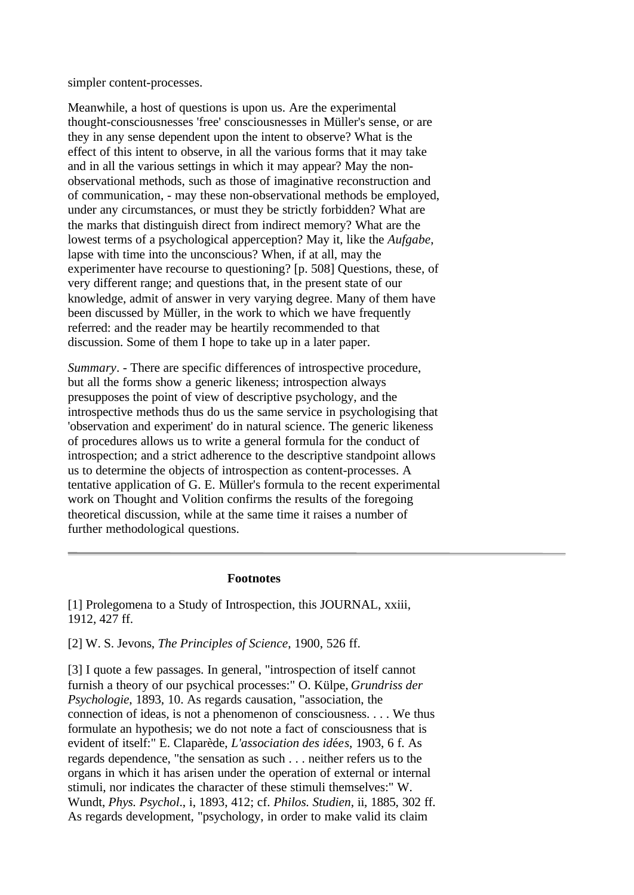simpler content-processes.

Meanwhile, a host of questions is upon us. Are the experimental thought-consciousnesses 'free' consciousnesses in Müller's sense, or are they in any sense dependent upon the intent to observe? What is the effect of this intent to observe, in all the various forms that it may take and in all the various settings in which it may appear? May the nonobservational methods, such as those of imaginative reconstruction and of communication, - may these non-observational methods be employed, under any circumstances, or must they be strictly forbidden? What are the marks that distinguish direct from indirect memory? What are the lowest terms of a psychological apperception? May it, like the *Aufgabe*, lapse with time into the unconscious? When, if at all, may the experimenter have recourse to questioning? [p. 508] Questions, these, of very different range; and questions that, in the present state of our knowledge, admit of answer in very varying degree. Many of them have been discussed by Müller, in the work to which we have frequently referred: and the reader may be heartily recommended to that discussion. Some of them I hope to take up in a later paper.

*Summary*. - There are specific differences of introspective procedure, but all the forms show a generic likeness; introspection always presupposes the point of view of descriptive psychology, and the introspective methods thus do us the same service in psychologising that 'observation and experiment' do in natural science. The generic likeness of procedures allows us to write a general formula for the conduct of introspection; and a strict adherence to the descriptive standpoint allows us to determine the objects of introspection as content-processes. A tentative application of G. E. Müller's formula to the recent experimental work on Thought and Volition confirms the results of the foregoing theoretical discussion, while at the same time it raises a number of further methodological questions.

# **Footnotes**

[1] Prolegomena to a Study of Introspection, this JOURNAL, xxiii, 1912, 427 ff.

[2] W. S. Jevons, *The Principles of Science*, 1900, 526 ff.

[3] I quote a few passages. In general, "introspection of itself cannot furnish a theory of our psychical processes:" O. Külpe, *Grundriss der Psychologie*, 1893, 10. As regards causation, "association, the connection of ideas, is not a phenomenon of consciousness. . . . We thus formulate an hypothesis; we do not note a fact of consciousness that is evident of itself:" E. Claparède, *L'association des id*é*es*, 1903, 6 f. As regards dependence, "the sensation as such . . . neither refers us to the organs in which it has arisen under the operation of external or internal stimuli, nor indicates the character of these stimuli themselves:" W. Wundt, *Phys. Psychol*., i, 1893, 412; cf. *Philos. Studien*, ii, 1885, 302 ff. As regards development, "psychology, in order to make valid its claim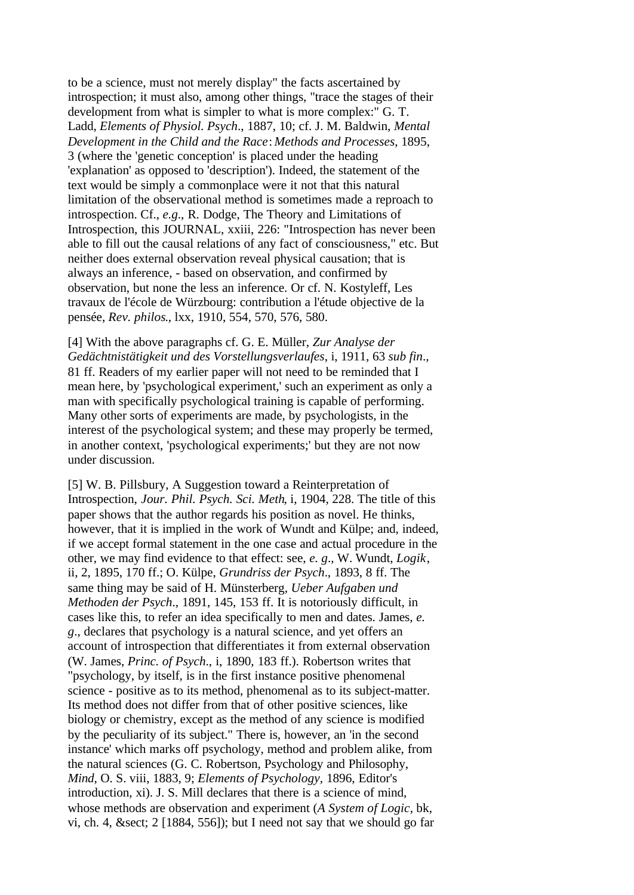to be a science, must not merely display" the facts ascertained by introspection; it must also, among other things, "trace the stages of their development from what is simpler to what is more complex:" G. T. Ladd, *Elements of Physiol. Psych*., 1887, 10; cf. J. M. Baldwin, *Mental Development in the Child and the Race*: *Methods and Processes*, 1895, 3 (where the 'genetic conception' is placed under the heading 'explanation' as opposed to 'description'). Indeed, the statement of the text would be simply a commonplace were it not that this natural limitation of the observational method is sometimes made a reproach to introspection. Cf., *e.g*., R. Dodge, The Theory and Limitations of Introspection, this JOURNAL, xxiii, 226: "Introspection has never been able to fill out the causal relations of any fact of consciousness," etc. But neither does external observation reveal physical causation; that is always an inference, - based on observation, and confirmed by observation, but none the less an inference. Or cf. N. Kostyleff, Les travaux de l'école de Würzbourg: contribution a l'étude objective de la pensée, *Rev. philos*., lxx, 1910, 554, 570, 576, 580.

[4] With the above paragraphs cf. G. E. Müller, *Zur Analyse der Gedächtnistätigkeit und des Vorstellungsverlaufes*, i, 1911, 63 *sub fin*., 81 ff. Readers of my earlier paper will not need to be reminded that I mean here, by 'psychological experiment,' such an experiment as only a man with specifically psychological training is capable of performing. Many other sorts of experiments are made, by psychologists, in the interest of the psychological system; and these may properly be termed, in another context, 'psychological experiments;' but they are not now under discussion.

[5] W. B. Pillsbury, A Suggestion toward a Reinterpretation of Introspection, *Jour. Phil. Psych. Sci. Meth*, i, 1904, 228. The title of this paper shows that the author regards his position as novel. He thinks, however, that it is implied in the work of Wundt and Külpe; and, indeed, if we accept formal statement in the one case and actual procedure in the other, we may find evidence to that effect: see, *e. g*., W. Wundt, *Logik*, ii, 2, 1895, 170 ff.; O. Külpe, *Grundriss der Psych*., 1893, 8 ff. The same thing may be said of H. Münsterberg, *Ueber Aufgaben und Methoden der Psych*., 1891, 145, 153 ff. It is notoriously difficult, in cases like this, to refer an idea specifically to men and dates. James, *e. g*., declares that psychology is a natural science, and yet offers an account of introspection that differentiates it from external observation (W. James, *Princ. of Psych*., i, 1890, 183 ff.). Robertson writes that "psychology, by itself, is in the first instance positive phenomenal science - positive as to its method, phenomenal as to its subject-matter. Its method does not differ from that of other positive sciences, like biology or chemistry, except as the method of any science is modified by the peculiarity of its subject." There is, however, an 'in the second instance' which marks off psychology, method and problem alike, from the natural sciences (G. C. Robertson, Psychology and Philosophy, *Mind*, O. S. viii, 1883, 9; *Elements of Psychology*, 1896, Editor's introduction, xi). J. S. Mill declares that there is a science of mind, whose methods are observation and experiment (*A System of Logic*, bk, vi, ch. 4, & sect; 2 [1884, 556]); but I need not say that we should go far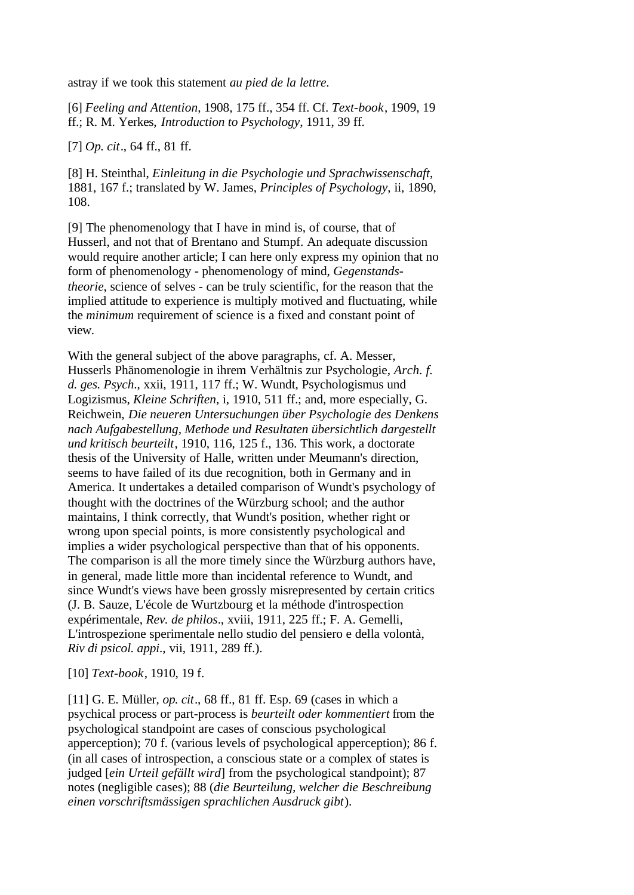astray if we took this statement *au pied de la lettre*.

[6] *Feeling and Attention*, 1908, 175 ff., 354 ff. Cf. *Text-book*, 1909, 19 ff.; R. M. Yerkes, *Introduction to Psychology*, 1911, 39 ff.

[7] *Op. cit*., 64 ff., 81 ff.

[8] H. Steinthal, *Einleitung in die Psychologie und Sprachwissenschaft*, 1881, 167 f.; translated by W. James, *Principles of Psychology*, ii, 1890, 108.

[9] The phenomenology that I have in mind is, of course, that of Husserl, and not that of Brentano and Stumpf. An adequate discussion would require another article; I can here only express my opinion that no form of phenomenology - phenomenology of mind, *Gegenstandstheorie*, science of selves - can be truly scientific, for the reason that the implied attitude to experience is multiply motived and fluctuating, while the *minimum* requirement of science is a fixed and constant point of view.

With the general subject of the above paragraphs, cf. A. Messer, Husserls Phänomenologie in ihrem Verhältnis zur Psychologie, *Arch. f. d. ges. Psych*., xxii, 1911, 117 ff.; W. Wundt, Psychologismus und Logizismus, *Kleine Schriften*, i, 1910, 511 ff.; and, more especially, G. Reichwein, *Die neueren Untersuchungen über Psychologie des Denkens nach Aufgabestellung, Methode und Resultaten übersichtlich dargestellt und kritisch beurteilt*, 1910, 116, 125 f., 136. This work, a doctorate thesis of the University of Halle, written under Meumann's direction, seems to have failed of its due recognition, both in Germany and in America. It undertakes a detailed comparison of Wundt's psychology of thought with the doctrines of the Würzburg school; and the author maintains, I think correctly, that Wundt's position, whether right or wrong upon special points, is more consistently psychological and implies a wider psychological perspective than that of his opponents. The comparison is all the more timely since the Würzburg authors have, in general, made little more than incidental reference to Wundt, and since Wundt's views have been grossly misrepresented by certain critics (J. B. Sauze, L'école de Wurtzbourg et la méthode d'introspection expérimentale, *Rev. de philos*., xviii, 1911, 225 ff.; F. A. Gemelli, L'introspezione sperimentale nello studio del pensiero e della volontà, *Riv di psicol. appi*., vii, 1911, 289 ff.).

[10] *Text-book*, 1910, 19 f.

[11] G. E. Müller, *op. cit*., 68 ff., 81 ff. Esp. 69 (cases in which a psychical process or part-process is *beurteilt oder kommentiert* from the psychological standpoint are cases of conscious psychological apperception); 70 f. (various levels of psychological apperception); 86 f. (in all cases of introspection, a conscious state or a complex of states is judged [*ein Urteil gefällt wird*] from the psychological standpoint); 87 notes (negligible cases); 88 (*die Beurteilung, welcher die Beschreibung einen vorschriftsmässigen sprachlichen Ausdruck gibt*).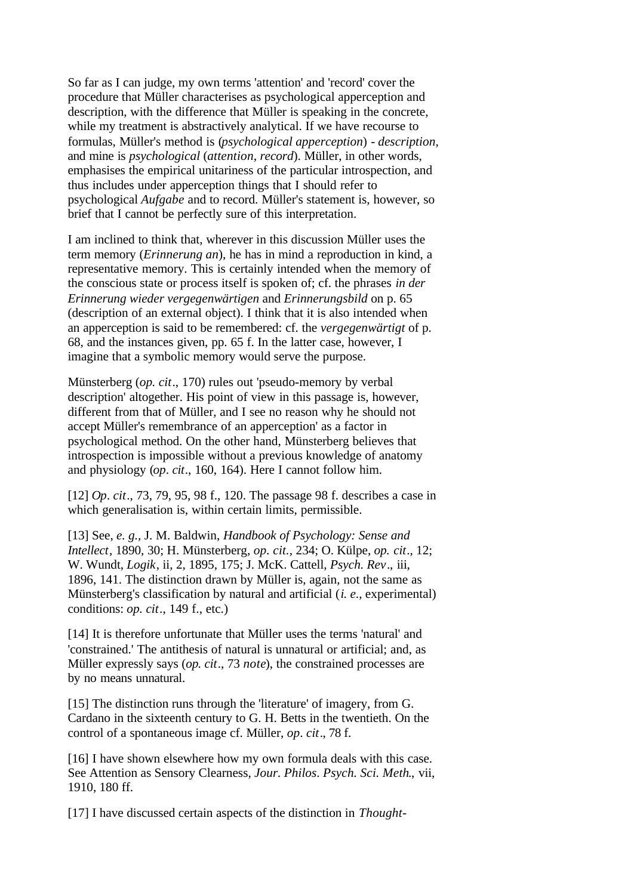So far as I can judge, my own terms 'attention' and 'record' cover the procedure that Müller characterises as psychological apperception and description, with the difference that Müller is speaking in the concrete, while my treatment is abstractively analytical. If we have recourse to formulas, Müller's method is (*psychological apperception*) - *description*, and mine is *psychological* (*attention*, *record*). Müller, in other words, emphasises the empirical unitariness of the particular introspection, and thus includes under apperception things that I should refer to psychological *Aufgabe* and to record. Müller's statement is, however, so brief that I cannot be perfectly sure of this interpretation.

I am inclined to think that, wherever in this discussion Müller uses the term memory (*Erinnerung an*), he has in mind a reproduction in kind, a representative memory. This is certainly intended when the memory of the conscious state or process itself is spoken of; cf. the phrases *in der Erinnerung wieder vergegenwärtigen* and *Erinnerungsbild* on p. 65 (description of an external object). I think that it is also intended when an apperception is said to be remembered: cf. the *vergegenwärtigt* of p. 68, and the instances given, pp. 65 f. In the latter case, however, I imagine that a symbolic memory would serve the purpose.

Münsterberg (*op. cit*., 170) rules out 'pseudo-memory by verbal description' altogether. His point of view in this passage is, however, different from that of Müller, and I see no reason why he should not accept Müller's remembrance of an apperception' as a factor in psychological method. On the other hand, Münsterberg believes that introspection is impossible without a previous knowledge of anatomy and physiology (*op*. *cit*., 160, 164). Here I cannot follow him.

[12] *Op*. *cit*., 73, 79, 95, 98 f., 120. The passage 98 f. describes a case in which generalisation is, within certain limits, permissible.

[13] See, *e. g.,* J. M. Baldwin, *Handbook of Psychology: Sense and Intellect*, 1890, 30; H. Münsterberg, *op. cit.,* 234; O. Külpe, *op. cit*., 12; W. Wundt, *Logik*, ii, 2, 1895, 175; J. McK. Cattell, *Psych. Rev*., iii, 1896, 141. The distinction drawn by Müller is, again, not the same as Münsterberg's classification by natural and artificial (*i. e*., experimental) conditions: *op. cit*., 149 f., etc.)

[14] It is therefore unfortunate that Müller uses the terms 'natural' and 'constrained.' The antithesis of natural is unnatural or artificial; and, as Müller expressly says (*op. cit*., 73 *note*), the constrained processes are by no means unnatural.

[15] The distinction runs through the 'literature' of imagery, from G. Cardano in the sixteenth century to G. H. Betts in the twentieth. On the control of a spontaneous image cf. Müller, *op*. *cit*., 78 f.

[16] I have shown elsewhere how my own formula deals with this case. See Attention as Sensory Clearness, *Jour. Philos*. *Psych. Sci. Meth*., vii, 1910, 180 ff.

[17] I have discussed certain aspects of the distinction in *Thought-*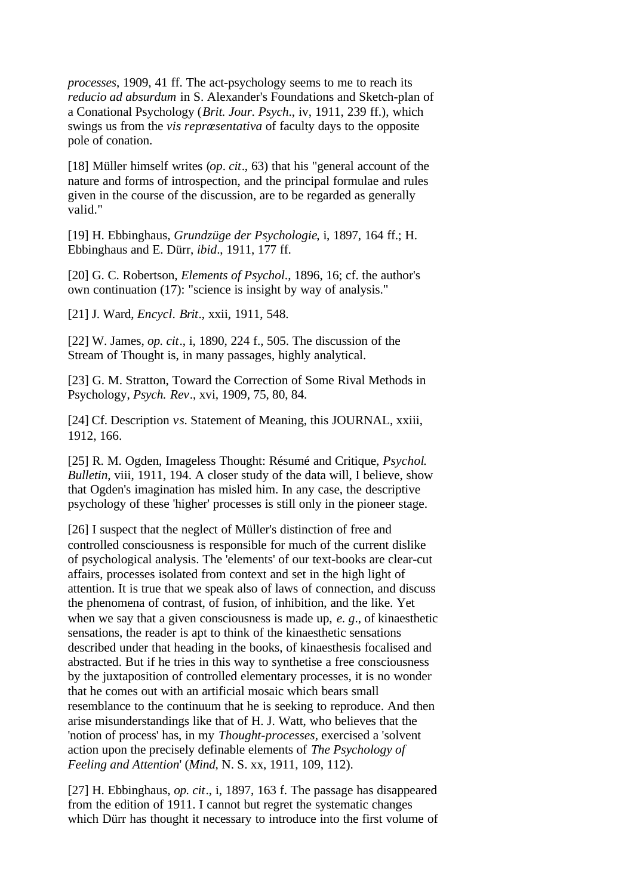*processes*, 1909, 41 ff. The act-psychology seems to me to reach its *reducio ad absurdum* in S. Alexander's Foundations and Sketch-plan of a Conational Psychology (*Brit. Jour. Psych*., iv, 1911, 239 ff.), which swings us from the *vis reprœsentativa* of faculty days to the opposite pole of conation.

[18] Müller himself writes (*op*. *cit*., 63) that his "general account of the nature and forms of introspection, and the principal formulae and rules given in the course of the discussion, are to be regarded as generally valid."

[19] H. Ebbinghaus, *Grundzüge der Psychologie*, i, 1897, 164 ff.; H. Ebbinghaus and E. Dürr, *ibid*., 1911, 177 ff.

[20] G. C. Robertson, *Elements of Psychol*., 1896, 16; cf. the author's own continuation (17): "science is insight by way of analysis."

[21] J. Ward, *Encycl*. *Brit*., xxii, 1911, 548.

[22] W. James, *op. cit*., i, 1890, 224 f., 505. The discussion of the Stream of Thought is, in many passages, highly analytical.

[23] G. M. Stratton, Toward the Correction of Some Rival Methods in Psychology, *Psych. Rev*., xvi, 1909, 75, 80, 84.

[24] Cf. Description *vs*. Statement of Meaning, this JOURNAL, xxiii, 1912, 166.

[25] R. M. Ogden, Imageless Thought: Résumé and Critique, *Psychol*. *Bulletin*, viii, 1911, 194. A closer study of the data will, I believe, show that Ogden's imagination has misled him. In any case, the descriptive psychology of these 'higher' processes is still only in the pioneer stage.

[26] I suspect that the neglect of Müller's distinction of free and controlled consciousness is responsible for much of the current dislike of psychological analysis. The 'elements' of our text-books are clear-cut affairs, processes isolated from context and set in the high light of attention. It is true that we speak also of laws of connection, and discuss the phenomena of contrast, of fusion, of inhibition, and the like. Yet when we say that a given consciousness is made up, *e. g*., of kinaesthetic sensations, the reader is apt to think of the kinaesthetic sensations described under that heading in the books, of kinaesthesis focalised and abstracted. But if he tries in this way to synthetise a free consciousness by the juxtaposition of controlled elementary processes, it is no wonder that he comes out with an artificial mosaic which bears small resemblance to the continuum that he is seeking to reproduce. And then arise misunderstandings like that of H. J. Watt, who believes that the 'notion of process' has, in my *Thought-processes,* exercised a 'solvent action upon the precisely definable elements of *The Psychology of Feeling and Attention*' (*Mind*, N. S. xx, 1911, 109, 112).

[27] H. Ebbinghaus, *op. cit*., i, 1897, 163 f. The passage has disappeared from the edition of 1911. I cannot but regret the systematic changes which Dürr has thought it necessary to introduce into the first volume of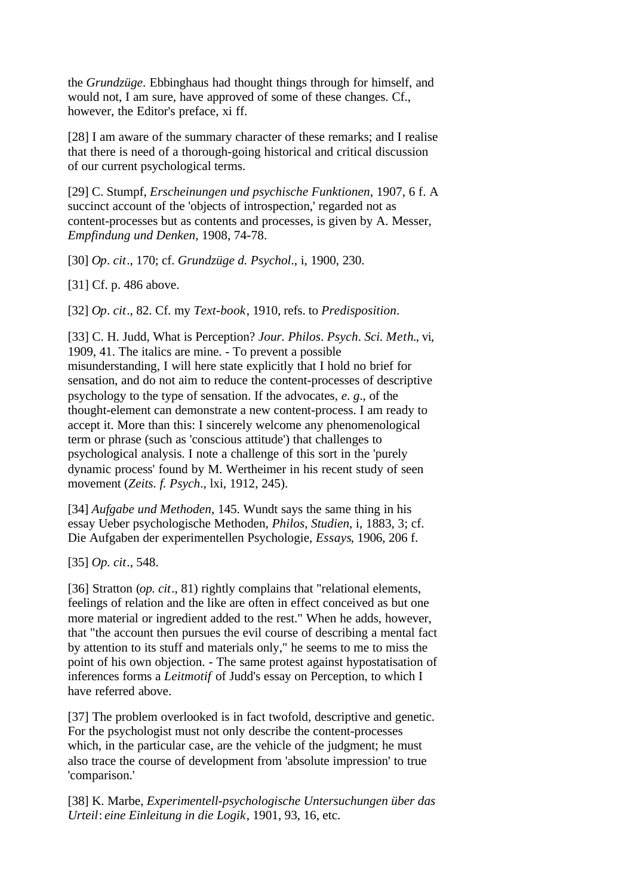the *Grundzüge*. Ebbinghaus had thought things through for himself, and would not, I am sure, have approved of some of these changes. Cf., however, the Editor's preface, xi ff.

[28] I am aware of the summary character of these remarks; and I realise that there is need of a thorough-going historical and critical discussion of our current psychological terms.

[29] C. Stumpf, *Erscheinungen und psychische Funktionen*, 1907, 6 f. A succinct account of the 'objects of introspection,' regarded not as content-processes but as contents and processes, is given by A. Messer, *Empfindung und Denken*, 1908, 74-78.

[30] *Op*. *cit*., 170; cf. *Grundzüge d. Psychol*., i, 1900, 230.

[31] Cf. p. 486 above.

[32] *Op*. *cit*., 82. Cf. my *Text-book*, 1910, refs. to *Predisposition*.

[33] C. H. Judd, What is Perception? *Jour. Philos*. *Psych*. *Sci*. *Meth*., vi, 1909, 41. The italics are mine. - To prevent a possible misunderstanding, I will here state explicitly that I hold no brief for sensation, and do not aim to reduce the content-processes of descriptive psychology to the type of sensation. If the advocates, *e*. *g*., of the thought-element can demonstrate a new content-process. I am ready to accept it. More than this: I sincerely welcome any phenomenological term or phrase (such as 'conscious attitude') that challenges to psychological analysis. I note a challenge of this sort in the 'purely dynamic process' found by M. Wertheimer in his recent study of seen movement (*Zeits. f. Psych*., lxi, 1912, 245).

[34] *Aufgabe und Methoden*, 145. Wundt says the same thing in his essay Ueber psychologische Methoden, *Philos*, *Studien*, i, 1883, 3; cf. Die Aufgaben der experimentellen Psychologie, *Essays*, 1906, 206 f.

[35] *Op. cit*., 548.

[36] Stratton (*op. cit.*, 81) rightly complains that "relational elements, feelings of relation and the like are often in effect conceived as but one more material or ingredient added to the rest." When he adds, however, that "the account then pursues the evil course of describing a mental fact by attention to its stuff and materials only," he seems to me to miss the point of his own objection. - The same protest against hypostatisation of inferences forms a *Leitmotif* of Judd's essay on Perception, to which I have referred above.

[37] The problem overlooked is in fact twofold, descriptive and genetic. For the psychologist must not only describe the content-processes which, in the particular case, are the vehicle of the judgment; he must also trace the course of development from 'absolute impression' to true 'comparison.'

[38] K. Marbe, *Experimentell-psychologische Untersuchungen über das Urteil*: *eine Einleitung in die Logik*, 1901, 93, 16, etc.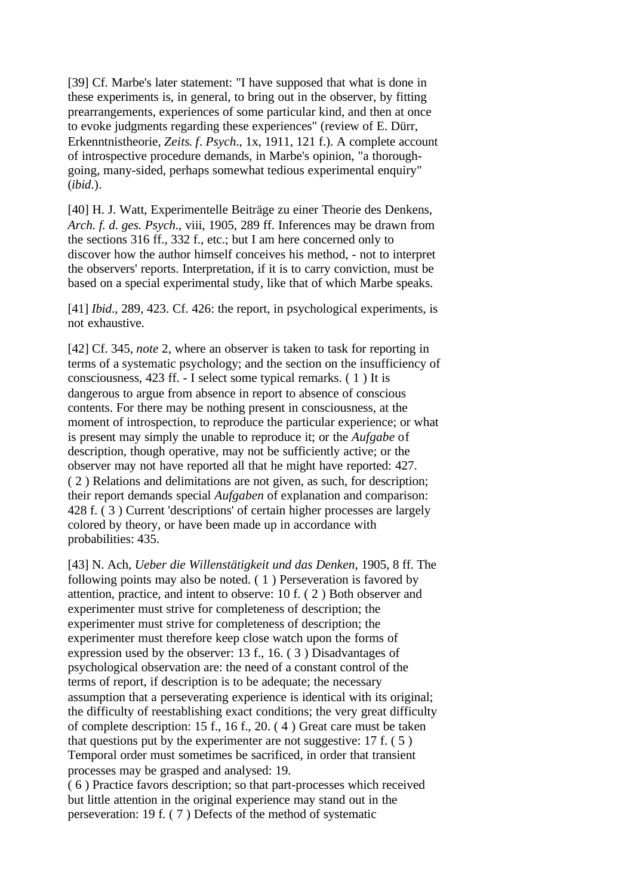[39] Cf. Marbe's later statement: "I have supposed that what is done in these experiments is, in general, to bring out in the observer, by fitting prearrangements, experiences of some particular kind, and then at once to evoke judgments regarding these experiences" (review of E. Dürr, Erkenntnistheorie, *Zeits*. *f*. *Psych*., 1x, 1911, 121 f.). A complete account of introspective procedure demands, in Marbe's opinion, "a thoroughgoing, many-sided, perhaps somewhat tedious experimental enquiry" (*ibid*.).

[40] H. J. Watt, Experimentelle Beiträge zu einer Theorie des Denkens, *Arch. f. d. ges. Psych*., viii, 1905, 289 ff. Inferences may be drawn from the sections 316 ff., 332 f., etc.; but I am here concerned only to discover how the author himself conceives his method, - not to interpret the observers' reports. Interpretation, if it is to carry conviction, must be based on a special experimental study, like that of which Marbe speaks.

[41] *Ibid*., 289, 423. Cf. 426: the report, in psychological experiments, is not exhaustive.

[42] Cf. 345, *note* 2, where an observer is taken to task for reporting in terms of a systematic psychology; and the section on the insufficiency of consciousness, 423 ff. - I select some typical remarks. ( 1 ) It is dangerous to argue from absence in report to absence of conscious contents. For there may be nothing present in consciousness, at the moment of introspection, to reproduce the particular experience; or what is present may simply the unable to reproduce it; or the *Aufgabe* of description, though operative, may not be sufficiently active; or the observer may not have reported all that he might have reported: 427. ( 2 ) Relations and delimitations are not given, as such, for description; their report demands special *Aufgaben* of explanation and comparison: 428 f. ( 3 ) Current 'descriptions' of certain higher processes are largely colored by theory, or have been made up in accordance with probabilities: 435.

[43] N. Ach, *Ueber die Willenstätigkeit und das Denken*, 1905, 8 ff. The following points may also be noted. ( 1 ) Perseveration is favored by attention, practice, and intent to observe: 10 f. ( 2 ) Both observer and experimenter must strive for completeness of description; the experimenter must strive for completeness of description; the experimenter must therefore keep close watch upon the forms of expression used by the observer: 13 f., 16. ( 3 ) Disadvantages of psychological observation are: the need of a constant control of the terms of report, if description is to be adequate; the necessary assumption that a perseverating experience is identical with its original; the difficulty of reestablishing exact conditions; the very great difficulty of complete description: 15 f., 16 f., 20. ( 4 ) Great care must be taken that questions put by the experimenter are not suggestive: 17 f. ( 5 ) Temporal order must sometimes be sacrificed, in order that transient processes may be grasped and analysed: 19.

( 6 ) Practice favors description; so that part-processes which received but little attention in the original experience may stand out in the perseveration: 19 f. ( 7 ) Defects of the method of systematic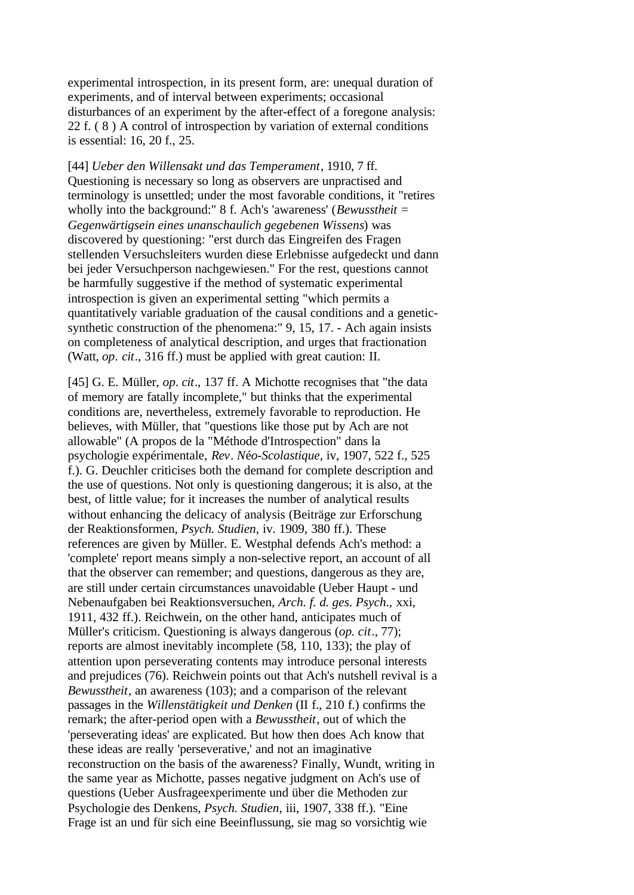experimental introspection, in its present form, are: unequal duration of experiments, and of interval between experiments; occasional disturbances of an experiment by the after-effect of a foregone analysis: 22 f. ( 8 ) A control of introspection by variation of external conditions is essential: 16, 20 f., 25.

[44] *Ueber den Willensakt und das Temperament*, 1910, 7 ff. Questioning is necessary so long as observers are unpractised and terminology is unsettled; under the most favorable conditions, it "retires wholly into the background:" 8 f. Ach's 'awareness' (*Bewusstheit* = *Gegenwärtigsein eines unanschaulich gegebenen Wissens*) was discovered by questioning: "erst durch das Eingreifen des Fragen stellenden Versuchsleiters wurden diese Erlebnisse aufgedeckt und dann bei jeder Versuchperson nachgewiesen." For the rest, questions cannot be harmfully suggestive if the method of systematic experimental introspection is given an experimental setting "which permits a quantitatively variable graduation of the causal conditions and a geneticsynthetic construction of the phenomena:" 9, 15, 17. - Ach again insists on completeness of analytical description, and urges that fractionation (Watt, *op*. *cit*., 316 ff.) must be applied with great caution: II.

[45] G. E. Müller, *op*. *cit*., 137 ff. A Michotte recognises that "the data of memory are fatally incomplete," but thinks that the experimental conditions are, nevertheless, extremely favorable to reproduction. He believes, with Müller, that "questions like those put by Ach are not allowable" (A propos de la "Méthode d'Introspection" dans la psychologie expérimentale, *Rev*. *N*é*o-Scolastique*, iv, 1907, 522 f., 525 f.). G. Deuchler criticises both the demand for complete description and the use of questions. Not only is questioning dangerous; it is also, at the best, of little value; for it increases the number of analytical results without enhancing the delicacy of analysis (Beiträge zur Erforschung der Reaktionsformen, *Psych. Studien*, iv. 1909, 380 ff.). These references are given by Müller. E. Westphal defends Ach's method: a 'complete' report means simply a non-selective report, an account of all that the observer can remember; and questions, dangerous as they are, are still under certain circumstances unavoidable (Ueber Haupt - und Nebenaufgaben bei Reaktionsversuchen, *Arch. f. d. ges*. *Psych*., xxi, 1911, 432 ff.). Reichwein, on the other hand, anticipates much of Müller's criticism. Questioning is always dangerous (*op. cit*., 77); reports are almost inevitably incomplete (58, 110, 133); the play of attention upon perseverating contents may introduce personal interests and prejudices (76). Reichwein points out that Ach's nutshell revival is a *Bewusstheit*, an awareness (103); and a comparison of the relevant passages in the *Willenstätigkeit und Denken* (II f., 210 f.) confirms the remark; the after-period open with a *Bewusstheit*, out of which the 'perseverating ideas' are explicated. But how then does Ach know that these ideas are really 'perseverative,' and not an imaginative reconstruction on the basis of the awareness? Finally, Wundt, writing in the same year as Michotte, passes negative judgment on Ach's use of questions (Ueber Ausfrageexperimente und über die Methoden zur Psychologie des Denkens, *Psych. Studien*, iii, 1907, 338 ff.). "Eine Frage ist an und für sich eine Beeinflussung, sie mag so vorsichtig wie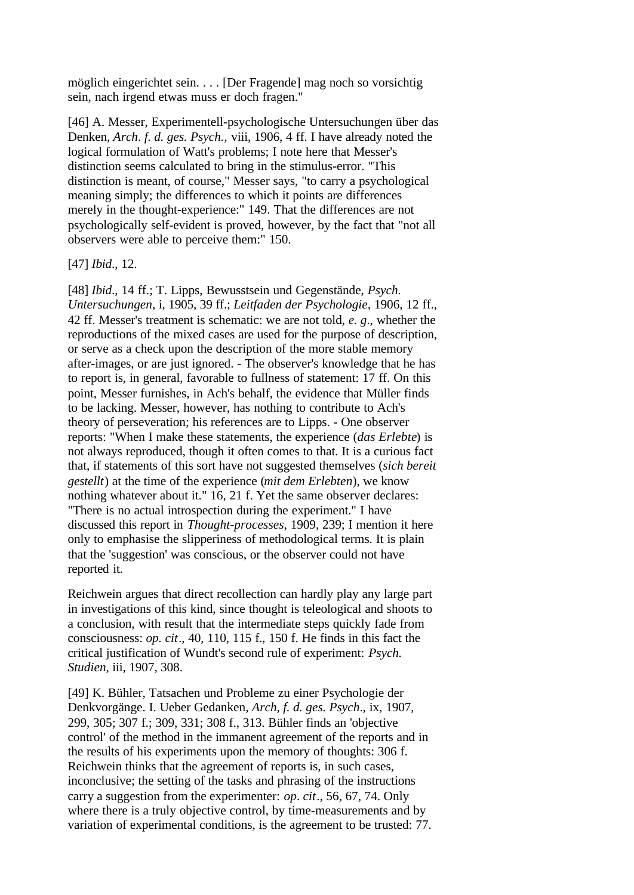möglich eingerichtet sein. . . . [Der Fragende] mag noch so vorsichtig sein, nach irgend etwas muss er doch fragen."

[46] A. Messer, Experimentell-psychologische Untersuchungen über das Denken, *Arch*. *f. d. ges. Psych.,* viii, 1906, 4 ff. I have already noted the logical formulation of Watt's problems; I note here that Messer's distinction seems calculated to bring in the stimulus-error. "This distinction is meant, of course," Messer says, "to carry a psychological meaning simply; the differences to which it points are differences merely in the thought-experience:" 149. That the differences are not psychologically self-evident is proved, however, by the fact that "not all observers were able to perceive them:" 150.

[47] *Ibid*., 12.

[48] *Ibid*., 14 ff.; T. Lipps, Bewusstsein und Gegenstände, *Psych. Untersuchungen*, i, 1905, 39 ff.; *Leitfaden der Psychologie*, 1906, 12 ff., 42 ff. Messer's treatment is schematic: we are not told, *e. g*., whether the reproductions of the mixed cases are used for the purpose of description, or serve as a check upon the description of the more stable memory after-images, or are just ignored. - The observer's knowledge that he has to report is, in general, favorable to fullness of statement: 17 ff. On this point, Messer furnishes, in Ach's behalf, the evidence that Müller finds to be lacking. Messer, however, has nothing to contribute to Ach's theory of perseveration; his references are to Lipps. - One observer reports: "When I make these statements, the experience (*das Erlebte*) is not always reproduced, though it often comes to that. It is a curious fact that, if statements of this sort have not suggested themselves (*sich bereit gestellt*) at the time of the experience (*mit dem Erlebten*), we know nothing whatever about it." 16, 21 f. Yet the same observer declares: "There is no actual introspection during the experiment." I have discussed this report in *Thought-processes*, 1909, 239; I mention it here only to emphasise the slipperiness of methodological terms. It is plain that the 'suggestion' was conscious, or the observer could not have reported it.

Reichwein argues that direct recollection can hardly play any large part in investigations of this kind, since thought is teleological and shoots to a conclusion, with result that the intermediate steps quickly fade from consciousness: *op. cit*., 40, 110, 115 f., 150 f. He finds in this fact the critical justification of Wundt's second rule of experiment: *Psych. Studien*, iii, 1907, 308.

[49] K. Bühler, Tatsachen und Probleme zu einer Psychologie der Denkvorgänge. I. Ueber Gedanken, *Arch, f. d. ges. Psych*., ix, 1907, 299, 305; 307 f.; 309, 331; 308 f., 313. Bühler finds an 'objective control' of the method in the immanent agreement of the reports and in the results of his experiments upon the memory of thoughts: 306 f. Reichwein thinks that the agreement of reports is, in such cases, inconclusive; the setting of the tasks and phrasing of the instructions carry a suggestion from the experimenter: *op*. *cit*., 56, 67, 74. Only where there is a truly objective control, by time-measurements and by variation of experimental conditions, is the agreement to be trusted: 77.